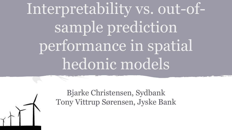# Interpretability vs. out-ofsample prediction performance in spatial hedonic models



Bjarke Christensen, Sydbank Tony Vittrup Sørensen, Jyske Bank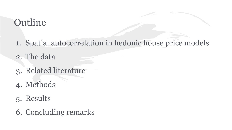# **Outline**

- 1. Spatial autocorrelation in hedonic house price models
- 2. The data
- 3. Related literature
- 4. Methods
- 5. Results
- 6. Concluding remarks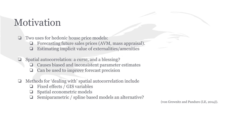# Motivation

❏ Two uses for hedonic house price models:

- ❏ Forecasting future sales prices (AVM, mass appraisal).
- ❏ Estimating implicit value of externalities/amenities
- ❏ Spatial autocorrelation: a curse, and a blessing?
	- ❏ Causes biased and inconsistent parameter estimates
	- ❏ Can be used to improve forecast precision
- ❏ Methods for 'dealing with' spatial autocorrelation include
	- ❏ Fixed effects / GIS variables
	- ❏ Spatial econometric models
	- Semiparametric / spline based models an alternative?

(von Grewnitz and Panduro (LE, 2014)).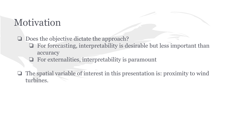# Motivation

❏ Does the objective dictate the approach?

- ❏ For forecasting, interpretability is desirable but less important than accuracy
- ❏ For externalities, interpretability is paramount
- ❏ The spatial variable of interest in this presentation is: proximity to wind turbines.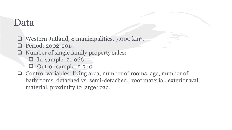### Data

- ❏ Western Jutland, 8 municipalities, 7.000 km<sup>2</sup> .
- ❏ Period: 2002-2014
- ❏ Number of single family property sales:
	- ❏ In-sample: 21.066
	- ❏ Out-of-sample: 2.340
- ❏ Control variables: living area, number of rooms, age, number of bathrooms, detached vs. semi-detached, roof material, exterior wall material, proximity to large road.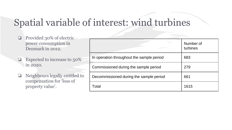# Spatial variable of interest: wind turbines

- ❏ Provided 30% of electric power consumption in Denmark in 2012.
- ❏ Expected to increase to 50% in 2020.
- ❏ Neighbours legally entitled to compensation for 'loss of property value'.

|                                           | Number of<br>turbines |
|-------------------------------------------|-----------------------|
| In operation throughout the sample period | 683                   |
| Commissioned during the sample period     | 279                   |
| Decommissioned during the sample period   | 661                   |
| Total                                     | 1615                  |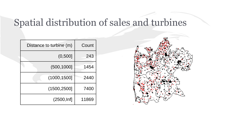# Spatial distribution of sales and turbines

| Distance to turbine (m) | Count |
|-------------------------|-------|
| (0,500]                 | 243   |
| (500, 1000]             | 1454  |
| (1000, 1500]            | 2440  |
| (1500, 2500]            | 7400  |
| (2500, lnf]             | 11869 |

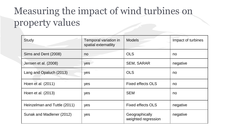# Measuring the impact of wind turbines on property values

| Study                        | Temporal variation in<br>spatial externatlity | <b>Models</b>                         | Impact of turbines |
|------------------------------|-----------------------------------------------|---------------------------------------|--------------------|
| Sims and Dent (2008)         | no                                            | <b>OLS</b>                            | no                 |
| Jensen et al. (2008)         | yes                                           | <b>SEM, SARAR</b>                     | negative           |
| Lang and Opaluch (2013)      | yes                                           | <b>OLS</b>                            | no                 |
| Hoen et al. (2011)           | yes                                           | <b>Fixed effects OLS</b>              | no                 |
| Hoen et al. (2013)           | yes                                           | <b>SEM</b>                            | no                 |
| Heinzelman and Tuttle (2011) | yes                                           | <b>Fixed effects OLS</b>              | negative           |
| Sunak and Madlener (2012)    | yes                                           | Geographically<br>weighted regression | negative           |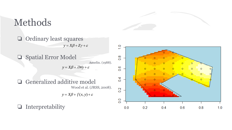

Methods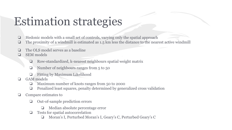# Estimation strategies

- ❏ Hedonic models with a small set of controls, varying only the spatial approach
- ❏ The proximity of a windmill is estimated as 1.5 km less the distance to the nearest active windmill
- ❏ The OLS model serves as a baseline
- ❏ SEM models
	- ❏ Row-standardized, k-nearest neighbours spatial weight matrix
	- Number of neighbours ranges from 5 to 50
	- ❏ Fitting by Maximum Likelihood
- ❏ GAM models
	- ❏ Maximum number of knots ranges from 50 to 2000
	- ❏ Penalized least squares, penalty determined by generalized cross validation
- ❏ Compare estimates to
	- ❏ Out-of-sample prediction errors
		- ❏ Median absolute percentage error
	- ❏ Tests for spatial autocorrelation
		- ❏ Moran's I, Perturbed Moran's I, Geary's C, Perturbed Geary's C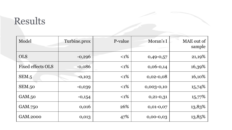# Results

| Model                    | Turbine.prox | P-value | Moran's I    | MAE out of<br>sample |
|--------------------------|--------------|---------|--------------|----------------------|
| <b>OLS</b>               | $-0,296$     | $<1\%$  | $0,49-0,57$  | 21,19%               |
| <b>Fixed effects OLS</b> | $-0,086$     | $<1\%$  | $0,06-0,14$  | 16,39%               |
| SEM.5                    | $-0,103$     | $<1\%$  | $0,02-0,08$  | 16,10%               |
| <b>SEM.50</b>            | $-0,039$     | $<1\%$  | $0,003-0,10$ | 15,74%               |
| GAM.50                   | $-0,154$     | $<1\%$  | $0,21-0,31$  | 15,77%               |
| GAM.750                  | 0,016        | 26%     | $0,01-0,07$  | 13,83%               |
| GAM.2000                 | 0,013        | 47%     | $0,00-0,03$  | 13,85%               |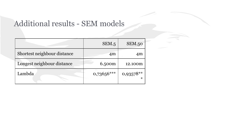### Additional results - SEM models

|                             | SEM.5        | SEM.50                |
|-----------------------------|--------------|-----------------------|
| Shortest neighbour distance | 4m           | 4m                    |
| Longest neighbour distance  | 6.500m       | 12.100m               |
| Lambda                      | $0,73656***$ | $0,93578**$<br>$\ast$ |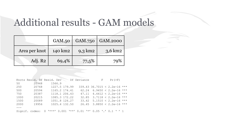### Additional results - GAM models

|               | <b>GAM.50</b> |                    | GAM.750   GAM.2000 |
|---------------|---------------|--------------------|--------------------|
| Area per knot | 140 km2       | $9.3 \text{ km}$ 2 | $3,6 \text{ km}$ 2 |
| Adj. R2       | 69,4%         | 77,5%              | 79%                |

|      |                | Knots Resid. Df Resid. Dev                                                                                                                          | - Df Deviance | $\mathbf{F}$ | $Pr(>\)$                       |
|------|----------------|-----------------------------------------------------------------------------------------------------------------------------------------------------|---------------|--------------|--------------------------------|
| 50   | 20948          | 1566.9                                                                                                                                              |               |              |                                |
| 250  | 20768          | 1227.5 179.99                                                                                                                                       |               |              | $339.43$ 36.7015 < 2.2e-16 *** |
| 500  | 20594          | 1165.2 174.41                                                                                                                                       |               |              | $62.24$ 6.9450 < 2.2e-16 ***   |
| 750  | 20387          | 1118.1 206.43                                                                                                                                       |               |              | $47.11$ $4.4412 < 2.2e-16$ *** |
| 1000 | 20215          | 1085.3 172.22                                                                                                                                       |               |              | $32.85$ 3.7118 < 2.2e-16 ***   |
| 1500 | 20089          | 1051.8 126.27                                                                                                                                       |               |              | $33.42$ 5.1510 < 2.2e-16 ***   |
| 2000 | 19956          | 1025.4 132.50                                                                                                                                       |               |              | $26.45$ 3.8850 < 2.2e-16 ***   |
|      |                |                                                                                                                                                     |               |              |                                |
|      | Signif. codes: | $\cdot$ $\cdot$ $\cdot$ $\cdot$ $\cdot$ 0.001 $\cdot$ $\cdot$ $\cdot$ 0.01 $\cdot$ $\cdot$ 0.05 $\cdot$ $\cdot$ 0.1 $\cdot$ $\cdot$ 1<br>$\bigcirc$ |               |              |                                |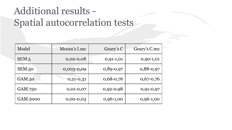# Additional results - Spatial autocorrelation tests

| Model    | Moran's I.mc | Geary's C   | Geary's C.mc |
|----------|--------------|-------------|--------------|
| SEM.5    | $0,02-0,08$  | $0,91-1,01$ | $0,90-1,01$  |
| SEM.50   | 0,003-0,09   | $0,89-0,97$ | $0,88-0,97$  |
| GAM.50   | $0,21-0,31$  | $0,68-0,76$ | $0,67-0,76$  |
| GAM.750  | $0,01-0,07$  | $0,92-0,98$ | 0,91-0,97    |
| GAM.2000 | $0,00-0,03$  | $0,96-1,00$ | $0,96-1,00$  |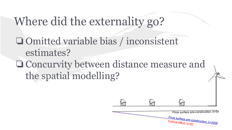# Where did the externality go?

❏Omitted variable bias / inconsistent estimates? ❏Concurvity between distance measure and the spatial modelling?